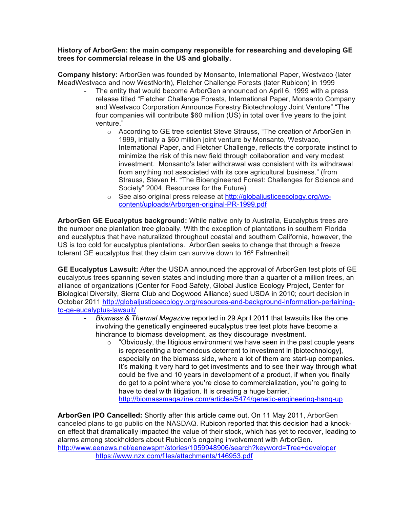## **History of ArborGen: the main company responsible for researching and developing GE trees for commercial release in the US and globally.**

**Company history:** ArborGen was founded by Monsanto, International Paper, Westvaco (later MeadWestvaco and now WestNorth), Fletcher Challenge Forests (later Rubicon) in 1999

- The entity that would become ArborGen announced on April 6, 1999 with a press release titled "Fletcher Challenge Forests, International Paper, Monsanto Company and Westvaco Corporation Announce Forestry Biotechnology Joint Venture" "The four companies will contribute \$60 million (US) in total over five years to the joint venture."
	- o According to GE tree scientist Steve Strauss, "The creation of ArborGen in 1999, initially a \$60 million joint venture by Monsanto, Westvaco, International Paper, and Fletcher Challenge, reflects the corporate instinct to minimize the risk of this new field through collaboration and very modest investment. Monsanto's later withdrawal was consistent with its withdrawal from anything not associated with its core agricultural business." (from Strauss, Steven H. "The Bioengineered Forest: Challenges for Science and Society" 2004, Resources for the Future)
	- o See also original press release at http://globaljusticeecology.org/wpcontent/uploads/Arborgen-original-PR-1999.pdf

**ArborGen GE Eucalyptus background:** While native only to Australia, Eucalyptus trees are the number one plantation tree globally. With the exception of plantations in southern Florida and eucalyptus that have naturalized throughout coastal and southern California, however, the US is too cold for eucalyptus plantations. ArborGen seeks to change that through a freeze tolerant GE eucalyptus that they claim can survive down to 16º Fahrenheit

**GE Eucalyptus Lawsuit:** After the USDA announced the approval of ArborGen test plots of GE eucalyptus trees spanning seven states and including more than a quarter of a million trees, an alliance of organizations (Center for Food Safety, Global Justice Ecology Project, Center for Biological Diversity, Sierra Club and Dogwood Alliance) sued USDA in 2010; court decision in October 2011 http://globaljusticeecology.org/resources-and-background-information-pertainingto-ge-eucalyptus-lawsuit/

- *Biomass & Thermal Magazine* reported in 29 April 2011 that lawsuits like the one involving the genetically engineered eucalyptus tree test plots have become a hindrance to biomass development, as they discourage investment.
	- $\circ$  "Obviously, the litigious environment we have seen in the past couple years is representing a tremendous deterrent to investment in [biotechnology], especially on the biomass side, where a lot of them are start-up companies. It's making it very hard to get investments and to see their way through what could be five and 10 years in development of a product, if when you finally do get to a point where you're close to commercialization, you're going to have to deal with litigation. It is creating a huge barrier." http://biomassmagazine.com/articles/5474/genetic-engineering-hang-up

**ArborGen IPO Cancelled:** Shortly after this article came out, On 11 May 2011, ArborGen canceled plans to go public on the NASDAQ. Rubicon reported that this decision had a knockon effect that dramatically impacted the value of their stock, which has yet to recover, leading to alarms among stockholders about Rubicon's ongoing involvement with ArborGen. http://www.eenews.net/eenewspm/stories/1059948906/search?keyword=Tree+developer https://www.nzx.com/files/attachments/146953.pdf